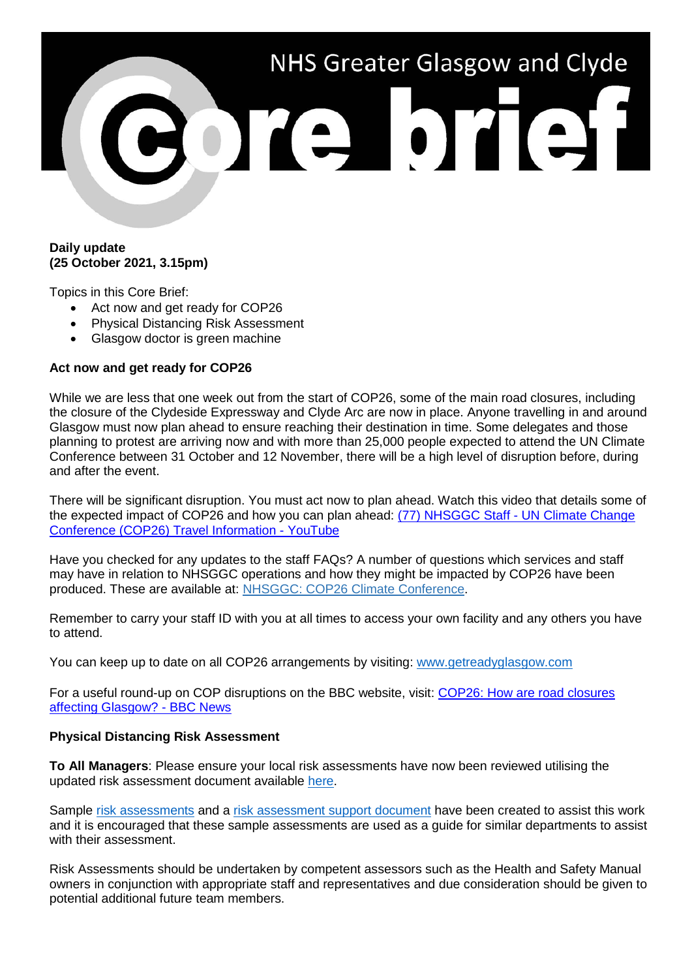

## **Daily update (25 October 2021, 3.15pm)**

Topics in this Core Brief:

- Act now and get ready for COP26
- Physical Distancing Risk Assessment
- Glasgow doctor is green machine

### **Act now and get ready for COP26**

While we are less that one week out from the start of COP26, some of the main road closures, including the closure of the Clydeside Expressway and Clyde Arc are now in place. Anyone travelling in and around Glasgow must now plan ahead to ensure reaching their destination in time. Some delegates and those planning to protest are arriving now and with more than 25,000 people expected to attend the UN Climate Conference between 31 October and 12 November, there will be a high level of disruption before, during and after the event.

There will be significant disruption. You must act now to plan ahead. Watch this video that details some of the expected impact of COP26 and how you can plan ahead: [\(77\) NHSGGC Staff -](https://www.youtube.com/watch?v=XshPABt9qlE&t=4s) UN Climate Change [Conference \(COP26\) Travel Information -](https://www.youtube.com/watch?v=XshPABt9qlE&t=4s) YouTube

Have you checked for any updates to the staff FAQs? A number of questions which services and staff may have in relation to NHSGGC operations and how they might be impacted by COP26 have been produced. These are available at: [NHSGGC: COP26 Climate Conference.](https://www.nhsggc.org.uk/about-us/cop26-conference/staff-information/)

Remember to carry your staff ID with you at all times to access your own facility and any others you have to attend.

You can keep up to date on all COP26 arrangements by visiting: [www.getreadyglasgow.com](http://www.getreadyglasgow.com/)

For a useful round-up on COP disruptions on the BBC website, visit: COP26: How are road closures [affecting Glasgow? -](https://www.bbc.co.uk/news/uk-scotland-58809709) BBC News

#### **Physical Distancing Risk Assessment**

**To All Managers**: Please ensure your local risk assessments have now been reviewed utilising the updated risk assessment document available [here.](https://www.nhsggc.org.uk/your-health/health-issues/covid-19-coronavirus/for-nhsggc-staff/physical-distancing-in-the-workplace/)

Sample [risk assessments](https://www.nhsggc.org.uk/your-health/health-issues/covid-19-coronavirus/for-nhsggc-staff/social-distancing-in-the-workplace/) and a [risk assessment support document](https://www.nhsggc.org.uk/your-health/health-issues/covid-19-coronavirus/for-nhsggc-staff/social-distancing-in-the-workplace/) have been created to assist this work and it is encouraged that these sample assessments are used as a guide for similar departments to assist with their assessment.

Risk Assessments should be undertaken by competent assessors such as the Health and Safety Manual owners in conjunction with appropriate staff and representatives and due consideration should be given to potential additional future team members.